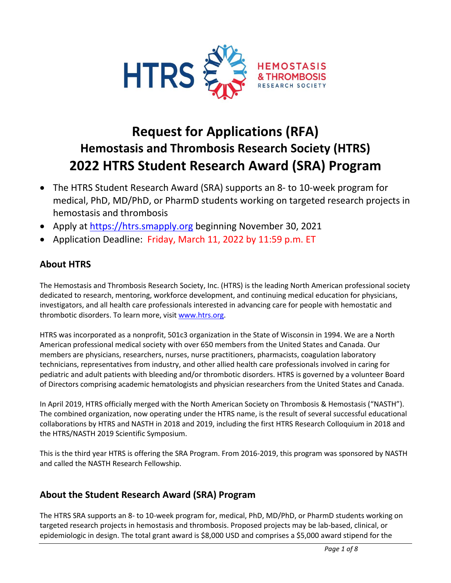

# **Request for Applications (RFA) Hemostasis and Thrombosis Research Society (HTRS) 2022 HTRS Student Research Award (SRA) Program**

- The HTRS Student Research Award (SRA) supports an 8- to 10-week program for medical, PhD, MD/PhD, or PharmD students working on targeted research projects in hemostasis and thrombosis
- Apply at [https://htrs.smapply.org](https://htrs.smapply.org/) beginning November 30, 2021
- Application Deadline: Friday, March 11, 2022 by 11:59 p.m. ET

# **About HTRS**

The Hemostasis and Thrombosis Research Society, Inc. (HTRS) is the leading North American professional society dedicated to research, mentoring, workforce development, and continuing medical education for physicians, investigators, and all health care professionals interested in advancing care for people with hemostatic and thrombotic disorders. To learn more, visit [www.htrs.org.](http://www.htrs.org/)

HTRS was incorporated as a nonprofit, 501c3 organization in the State of Wisconsin in 1994. We are a North American professional medical society with over 650 members from the United States and Canada. Our members are physicians, researchers, nurses, nurse practitioners, pharmacists, coagulation laboratory technicians, representatives from industry, and other allied health care professionals involved in caring for pediatric and adult patients with bleeding and/or thrombotic disorders. HTRS is governed by a volunteer Board of Directors comprising academic hematologists and physician researchers from the United States and Canada.

In April 2019, HTRS officially merged with the North American Society on Thrombosis & Hemostasis ("NASTH"). The combined organization, now operating under the HTRS name, is the result of several successful educational collaborations by HTRS and NASTH in 2018 and 2019, including the first HTRS Research Colloquium in 2018 and the HTRS/NASTH 2019 Scientific Symposium.

This is the third year HTRS is offering the SRA Program. From 2016-2019, this program was sponsored by NASTH and called the NASTH Research Fellowship.

# **About the Student Research Award (SRA) Program**

The HTRS SRA supports an 8- to 10-week program for, medical, PhD, MD/PhD, or PharmD students working on targeted research projects in hemostasis and thrombosis. Proposed projects may be lab-based, clinical, or epidemiologic in design. The total grant award is \$8,000 USD and comprises a \$5,000 award stipend for the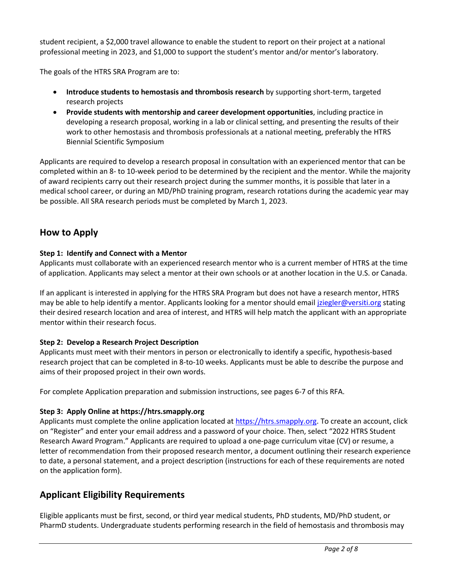student recipient, a \$2,000 travel allowance to enable the student to report on their project at a national professional meeting in 2023, and \$1,000 to support the student's mentor and/or mentor's laboratory.

The goals of the HTRS SRA Program are to:

- **Introduce students to hemostasis and thrombosis research** by supporting short-term, targeted research projects
- **Provide students with mentorship and career development opportunities**, including practice in developing a research proposal, working in a lab or clinical setting, and presenting the results of their work to other hemostasis and thrombosis professionals at a national meeting, preferably the HTRS Biennial Scientific Symposium

Applicants are required to develop a research proposal in consultation with an experienced mentor that can be completed within an 8- to 10-week period to be determined by the recipient and the mentor. While the majority of award recipients carry out their research project during the summer months, it is possible that later in a medical school career, or during an MD/PhD training program, research rotations during the academic year may be possible. All SRA research periods must be completed by March 1, 2023.

# **How to Apply**

### **Step 1: Identify and Connect with a Mentor**

Applicants must collaborate with an experienced research mentor who is a current member of HTRS at the time of application. Applicants may select a mentor at their own schools or at another location in the U.S. or Canada.

If an applicant is interested in applying for the HTRS SRA Program but does not have a research mentor, HTRS may be able to help identify a mentor. Applicants looking for a mentor should emai[l jziegler@versiti.org](mailto:jziegler@versiti.org) stating their desired research location and area of interest, and HTRS will help match the applicant with an appropriate mentor within their research focus.

### **Step 2: Develop a Research Project Description**

Applicants must meet with their mentors in person or electronically to identify a specific, hypothesis-based research project that can be completed in 8-to-10 weeks. Applicants must be able to describe the purpose and aims of their proposed project in their own words.

For complete Application preparation and submission instructions, see pages 6-7 of this RFA.

### **Step 3: Apply Online at https://htrs.smapply.org**

Applicants must complete the online application located at [https://htrs.smapply.org.](https://htrs.smapply.org/) To create an account, click on "Register" and enter your email address and a password of your choice. Then, select "2022 HTRS Student Research Award Program." Applicants are required to upload a one-page curriculum vitae (CV) or resume, a letter of recommendation from their proposed research mentor, a document outlining their research experience to date, a personal statement, and a project description (instructions for each of these requirements are noted on the application form).

# **Applicant Eligibility Requirements**

Eligible applicants must be first, second, or third year medical students, PhD students, MD/PhD student, or PharmD students. Undergraduate students performing research in the field of hemostasis and thrombosis may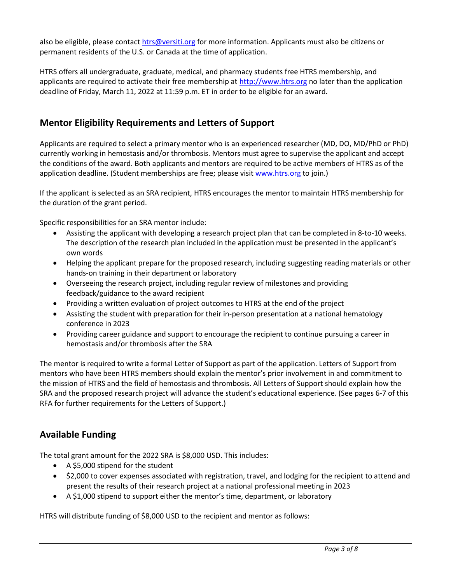also be eligible, please contac[t htrs@versiti.org](mailto:htrs@versiti.org) for more information. Applicants must also be citizens or permanent residents of the U.S. or Canada at the time of application.

HTRS offers all undergraduate, graduate, medical, and pharmacy students free HTRS membership, and applicants are required to activate their free membership at [http://www.htrs.org](http://www.htrs.org/) no later than the application deadline of Friday, March 11, 2022 at 11:59 p.m. ET in order to be eligible for an award.

### **Mentor Eligibility Requirements and Letters of Support**

Applicants are required to select a primary mentor who is an experienced researcher (MD, DO, MD/PhD or PhD) currently working in hemostasis and/or thrombosis. Mentors must agree to supervise the applicant and accept the conditions of the award. Both applicants and mentors are required to be active members of HTRS as of the application deadline. (Student memberships are free; please visi[t www.htrs.org](http://www.htrs.org/) to join.)

If the applicant is selected as an SRA recipient, HTRS encourages the mentor to maintain HTRS membership for the duration of the grant period.

Specific responsibilities for an SRA mentor include:

- Assisting the applicant with developing a research project plan that can be completed in 8-to-10 weeks. The description of the research plan included in the application must be presented in the applicant's own words
- Helping the applicant prepare for the proposed research, including suggesting reading materials or other hands-on training in their department or laboratory
- Overseeing the research project, including regular review of milestones and providing feedback/guidance to the award recipient
- Providing a written evaluation of project outcomes to HTRS at the end of the project
- Assisting the student with preparation for their in-person presentation at a national hematology conference in 2023
- Providing career guidance and support to encourage the recipient to continue pursuing a career in hemostasis and/or thrombosis after the SRA

The mentor is required to write a formal Letter of Support as part of the application. Letters of Support from mentors who have been HTRS members should explain the mentor's prior involvement in and commitment to the mission of HTRS and the field of hemostasis and thrombosis. All Letters of Support should explain how the SRA and the proposed research project will advance the student's educational experience. (See pages 6-7 of this RFA for further requirements for the Letters of Support.)

### **Available Funding**

The total grant amount for the 2022 SRA is \$8,000 USD. This includes:

- A \$5,000 stipend for the student
- \$2,000 to cover expenses associated with registration, travel, and lodging for the recipient to attend and present the results of their research project at a national professional meeting in 2023
- A \$1,000 stipend to support either the mentor's time, department, or laboratory

HTRS will distribute funding of \$8,000 USD to the recipient and mentor as follows: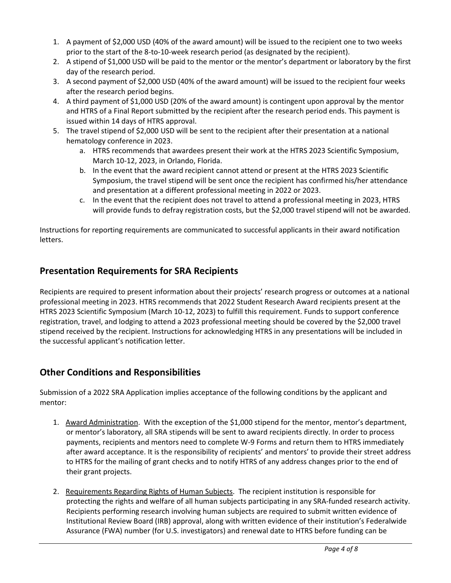- 1. A payment of \$2,000 USD (40% of the award amount) will be issued to the recipient one to two weeks prior to the start of the 8-to-10-week research period (as designated by the recipient).
- 2. A stipend of \$1,000 USD will be paid to the mentor or the mentor's department or laboratory by the first day of the research period.
- 3. A second payment of \$2,000 USD (40% of the award amount) will be issued to the recipient four weeks after the research period begins.
- 4. A third payment of \$1,000 USD (20% of the award amount) is contingent upon approval by the mentor and HTRS of a Final Report submitted by the recipient after the research period ends. This payment is issued within 14 days of HTRS approval.
- 5. The travel stipend of \$2,000 USD will be sent to the recipient after their presentation at a national hematology conference in 2023.
	- a. HTRS recommends that awardees present their work at the HTRS 2023 Scientific Symposium, March 10-12, 2023, in Orlando, Florida.
	- b. In the event that the award recipient cannot attend or present at the HTRS 2023 Scientific Symposium, the travel stipend will be sent once the recipient has confirmed his/her attendance and presentation at a different professional meeting in 2022 or 2023.
	- c. In the event that the recipient does not travel to attend a professional meeting in 2023, HTRS will provide funds to defray registration costs, but the \$2,000 travel stipend will not be awarded.

Instructions for reporting requirements are communicated to successful applicants in their award notification letters.

### **Presentation Requirements for SRA Recipients**

Recipients are required to present information about their projects' research progress or outcomes at a national professional meeting in 2023. HTRS recommends that 2022 Student Research Award recipients present at the HTRS 2023 Scientific Symposium (March 10-12, 2023) to fulfill this requirement. Funds to support conference registration, travel, and lodging to attend a 2023 professional meeting should be covered by the \$2,000 travel stipend received by the recipient. Instructions for acknowledging HTRS in any presentations will be included in the successful applicant's notification letter.

### **Other Conditions and Responsibilities**

Submission of a 2022 SRA Application implies acceptance of the following conditions by the applicant and mentor:

- 1. Award Administration. With the exception of the \$1,000 stipend for the mentor, mentor's department, or mentor's laboratory, all SRA stipends will be sent to award recipients directly. In order to process payments, recipients and mentors need to complete W-9 Forms and return them to HTRS immediately after award acceptance. It is the responsibility of recipients' and mentors' to provide their street address to HTRS for the mailing of grant checks and to notify HTRS of any address changes prior to the end of their grant projects.
- 2. Requirements Regarding Rights of Human Subjects. The recipient institution is responsible for protecting the rights and welfare of all human subjects participating in any SRA-funded research activity. Recipients performing research involving human subjects are required to submit written evidence of Institutional Review Board (IRB) approval, along with written evidence of their institution's Federalwide Assurance (FWA) number (for U.S. investigators) and renewal date to HTRS before funding can be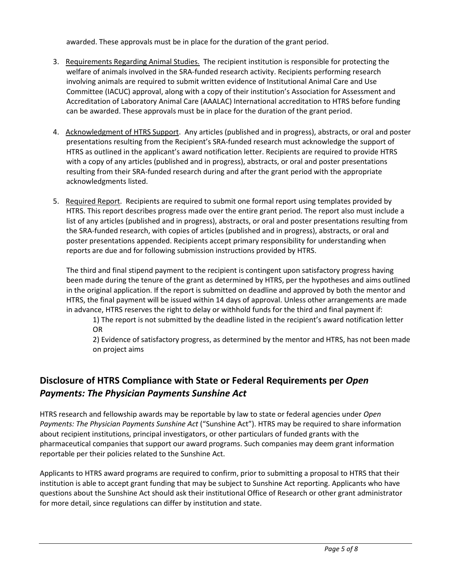awarded. These approvals must be in place for the duration of the grant period.

- 3. Requirements Regarding Animal Studies. The recipient institution is responsible for protecting the welfare of animals involved in the SRA-funded research activity. Recipients performing research involving animals are required to submit written evidence of Institutional Animal Care and Use Committee (IACUC) approval, along with a copy of their institution's Association for Assessment and Accreditation of Laboratory Animal Care (AAALAC) International accreditation to HTRS before funding can be awarded. These approvals must be in place for the duration of the grant period.
- 4. Acknowledgment of HTRS Support. Any articles (published and in progress), abstracts, or oral and poster presentations resulting from the Recipient's SRA-funded research must acknowledge the support of HTRS as outlined in the applicant's award notification letter. Recipients are required to provide HTRS with a copy of any articles (published and in progress), abstracts, or oral and poster presentations resulting from their SRA-funded research during and after the grant period with the appropriate acknowledgments listed.
- 5. Required Report. Recipients are required to submit one formal report using templates provided by HTRS. This report describes progress made over the entire grant period. The report also must include a list of any articles (published and in progress), abstracts, or oral and poster presentations resulting from the SRA-funded research, with copies of articles (published and in progress), abstracts, or oral and poster presentations appended. Recipients accept primary responsibility for understanding when reports are due and for following submission instructions provided by HTRS.

The third and final stipend payment to the recipient is contingent upon satisfactory progress having been made during the tenure of the grant as determined by HTRS, per the hypotheses and aims outlined in the original application. If the report is submitted on deadline and approved by both the mentor and HTRS, the final payment will be issued within 14 days of approval. Unless other arrangements are made in advance, HTRS reserves the right to delay or withhold funds for the third and final payment if:

1) The report is not submitted by the deadline listed in the recipient's award notification letter OR

2) Evidence of satisfactory progress, as determined by the mentor and HTRS, has not been made on project aims

# **Disclosure of HTRS Compliance with State or Federal Requirements per** *Open Payments: The Physician Payments Sunshine Act*

HTRS research and fellowship awards may be reportable by law to state or federal agencies under *Open Payments: The Physician Payments Sunshine Act* ("Sunshine Act"). HTRS may be required to share information about recipient institutions, principal investigators, or other particulars of funded grants with the pharmaceutical companies that support our award programs. Such companies may deem grant information reportable per their policies related to the Sunshine Act.

Applicants to HTRS award programs are required to confirm, prior to submitting a proposal to HTRS that their institution is able to accept grant funding that may be subject to Sunshine Act reporting. Applicants who have questions about the Sunshine Act should ask their institutional Office of Research or other grant administrator for more detail, since regulations can differ by institution and state.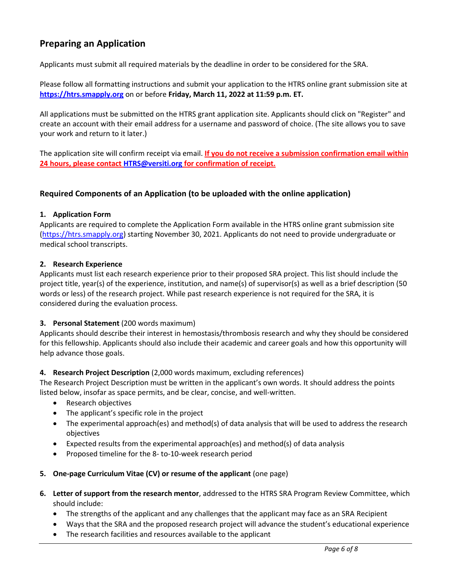## **Preparing an Application**

Applicants must submit all required materials by the deadline in order to be considered for the SRA.

Please follow all formatting instructions and submit your application to the HTRS online grant submission site at **[https://htrs.smapply.org](https://htrs.smapply.org/)** on or before **Friday, March 11, 2022 at 11:59 p.m. ET.** 

All applications must be submitted on the HTRS grant application site. Applicants should click on "Register" and create an account with their email address for a username and password of choice. (The site allows you to save your work and return to it later.)

The application site will confirm receipt via email. **If you do not receive a submission confirmation email within 24 hours, please contac[t HTRS@versiti.org](mailto:HTRS@versiti.org) for confirmation of receipt.**

### **Required Components of an Application (to be uploaded with the online application)**

#### **1. Application Form**

Applicants are required to complete the Application Form available in the HTRS online grant submission site [\(https://htrs.smapply.org\)](https://htrs.smapply.org/) starting November 30, 2021. Applicants do not need to provide undergraduate or medical school transcripts.

#### **2. Research Experience**

Applicants must list each research experience prior to their proposed SRA project. This list should include the project title, year(s) of the experience, institution, and name(s) of supervisor(s) as well as a brief description (50 words or less) of the research project. While past research experience is not required for the SRA, it is considered during the evaluation process.

#### **3. Personal Statement** (200 words maximum)

Applicants should describe their interest in hemostasis/thrombosis research and why they should be considered for this fellowship. Applicants should also include their academic and career goals and how this opportunity will help advance those goals.

#### **4. Research Project Description** (2,000 words maximum, excluding references)

The Research Project Description must be written in the applicant's own words. It should address the points listed below, insofar as space permits, and be clear, concise, and well-written.

- Research objectives
- The applicant's specific role in the project
- The experimental approach(es) and method(s) of data analysis that will be used to address the research objectives
- Expected results from the experimental approach(es) and method(s) of data analysis
- Proposed timeline for the 8- to-10-week research period
- **5. One-page Curriculum Vitae (CV) or resume of the applicant** (one page)
- **6. Letter of support from the research mentor**, addressed to the HTRS SRA Program Review Committee, which should include:
	- The strengths of the applicant and any challenges that the applicant may face as an SRA Recipient
	- Ways that the SRA and the proposed research project will advance the student's educational experience
	- The research facilities and resources available to the applicant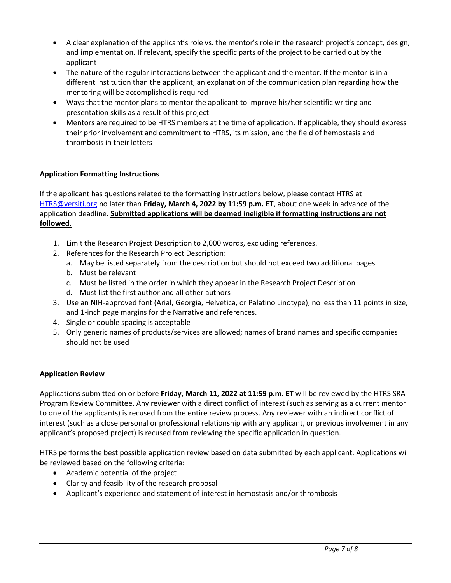- A clear explanation of the applicant's role vs. the mentor's role in the research project's concept, design, and implementation. If relevant, specify the specific parts of the project to be carried out by the applicant
- The nature of the regular interactions between the applicant and the mentor. If the mentor is in a different institution than the applicant, an explanation of the communication plan regarding how the mentoring will be accomplished is required
- Ways that the mentor plans to mentor the applicant to improve his/her scientific writing and presentation skills as a result of this project
- Mentors are required to be HTRS members at the time of application. If applicable, they should express their prior involvement and commitment to HTRS, its mission, and the field of hemostasis and thrombosis in their letters

### **Application Formatting Instructions**

If the applicant has questions related to the formatting instructions below, please contact HTRS at [HTRS@versiti.org](mailto:HTRS@versiti.org) no later than **Friday, March 4, 2022 by 11:59 p.m. ET**, about one week in advance of the application deadline. **Submitted applications will be deemed ineligible if formatting instructions are not followed.**

- 1. Limit the Research Project Description to 2,000 words, excluding references.
- 2. References for the Research Project Description:
	- a. May be listed separately from the description but should not exceed two additional pages
	- b. Must be relevant
	- c. Must be listed in the order in which they appear in the Research Project Description
	- d. Must list the first author and all other authors
- 3. Use an NIH-approved font (Arial, Georgia, Helvetica, or Palatino Linotype), no less than 11 points in size, and 1-inch page margins for the Narrative and references.
- 4. Single or double spacing is acceptable
- 5. Only generic names of products/services are allowed; names of brand names and specific companies should not be used

#### **Application Review**

Applications submitted on or before **Friday, March 11, 2022 at 11:59 p.m. ET** will be reviewed by the HTRS SRA Program Review Committee. Any reviewer with a direct conflict of interest (such as serving as a current mentor to one of the applicants) is recused from the entire review process. Any reviewer with an indirect conflict of interest (such as a close personal or professional relationship with any applicant, or previous involvement in any applicant's proposed project) is recused from reviewing the specific application in question.

HTRS performs the best possible application review based on data submitted by each applicant. Applications will be reviewed based on the following criteria:

- Academic potential of the project
- Clarity and feasibility of the research proposal
- Applicant's experience and statement of interest in hemostasis and/or thrombosis